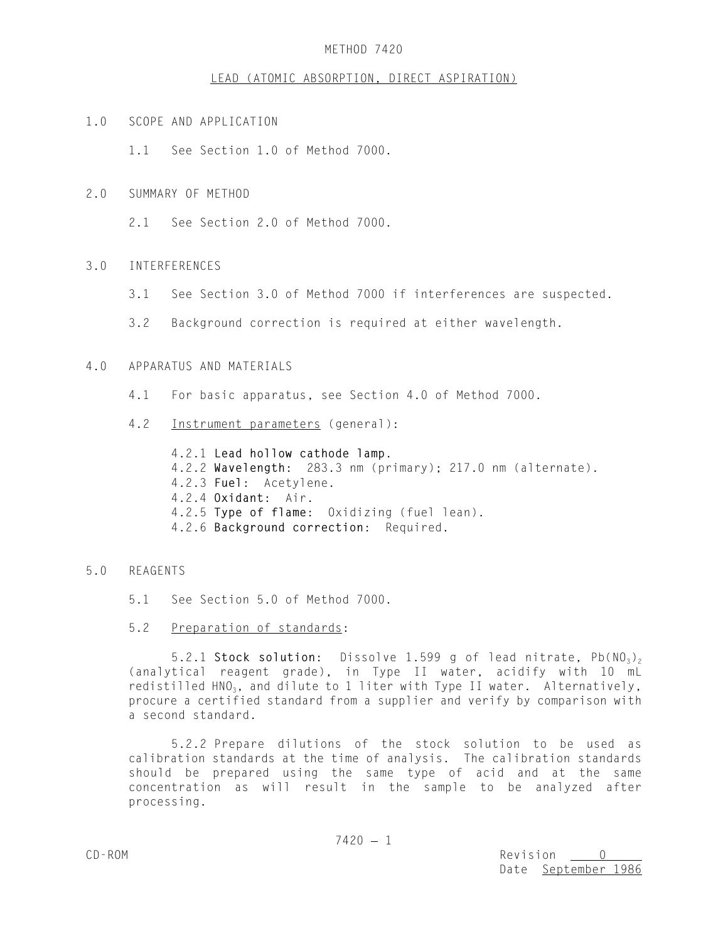### METHOD 7420

#### LEAD (ATOMIC ABSORPTION, DIRECT ASPIRATION)

1.0 SCOPE AND APPLICATION

1.1 See Section 1.0 of Method 7000.

- 2.0 SUMMARY OF METHOD
	- 2.1 See Section 2.0 of Method 7000.

### 3.0 INTERFERENCES

- 3.1 See Section 3.0 of Method 7000 if interferences are suspected.
- 3.2 Background correction is required at either wavelength.

## 4.0 APPARATUS AND MATERIALS

- 4.1 For basic apparatus, see Section 4.0 of Method 7000.
- 4.2 Instrument parameters (general):
	- 4.2.1 **Lead hollow cathode lamp**. 4.2.2 **Wavelength**: 283.3 nm (primary); 217.0 nm (alternate). 4.2.3 **Fuel**: Acetylene. 4.2.4 **Oxidant**: Air. 4.2.5 **Type of flame**: Oxidizing (fuel lean). 4.2.6 **Background correction**: Required.

#### 5.0 REAGENTS

- 5.1 See Section 5.0 of Method 7000.
- 5.2 Preparation of standards:

5.2.1 Stock solution: Dissolve 1.599 g of lead nitrate, Pb(NO<sub>3</sub>)<sub>2</sub> (analytical reagent grade), in Type II water, acidify with 10 mL redistilled  $HNO<sub>3</sub>$ , and dilute to 1 liter with Type II water. Alternatively, procure a certified standard from a supplier and verify by comparison with a second standard.

5.2.2 Prepare dilutions of the stock solution to be used as calibration standards at the time of analysis. The calibration standards should be prepared using the same type of acid and at the same concentration as will result in the sample to be analyzed after processing.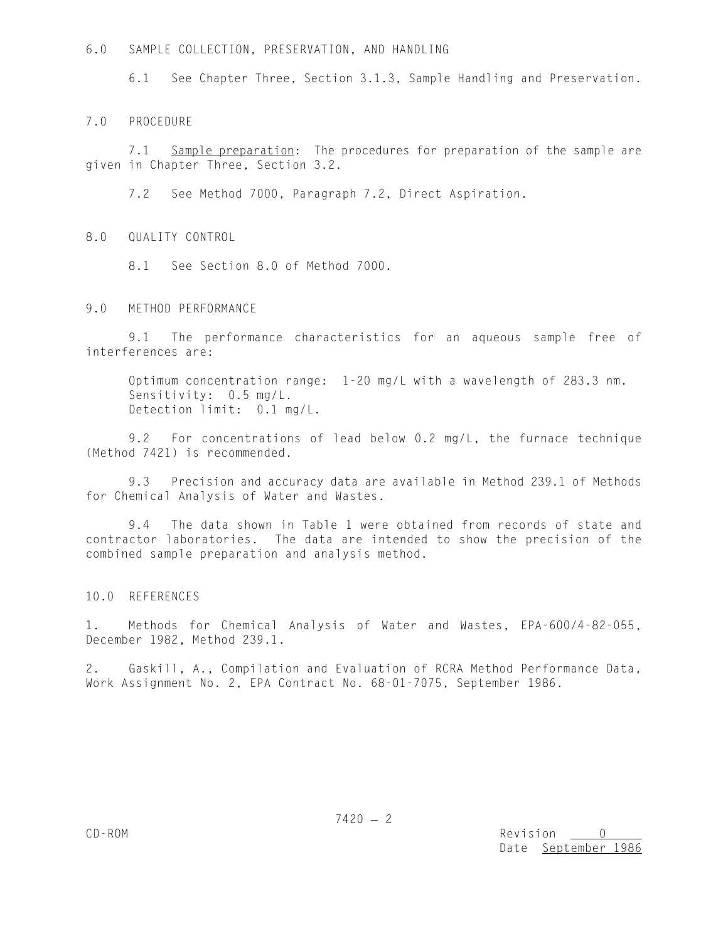6.0 SAMPLE COLLECTION, PRESERVATION, AND HANDLING

6.1 See Chapter Three, Section 3.1.3, Sample Handling and Preservation.

7.0 PROCEDURE

7.1 Sample preparation: The procedures for preparation of the sample are given in Chapter Three, Section 3.2.

7.2 See Method 7000, Paragraph 7.2, Direct Aspiration.

8.0 QUALITY CONTROL

8.1 See Section 8.0 of Method 7000.

9.0 METHOD PERFORMANCE

9.1 The performance characteristics for an aqueous sample free of interferences are:

Optimum concentration range: 1-20 mg/L with a wavelength of 283.3 nm. Sensitivity: 0.5 mg/L. Detection limit: 0.1 mg/L.

9.2 For concentrations of lead below 0.2 mg/L, the furnace technique (Method 7421) is recommended.

9.3 Precision and accuracy data are available in Method 239.1 of Methods for Chemical Analysis of Water and Wastes.

9.4 The data shown in Table 1 were obtained from records of state and contractor laboratories. The data are intended to show the precision of the combined sample preparation and analysis method.

10.0 REFERENCES

1. Methods for Chemical Analysis of Water and Wastes, EPA-600/4-82-055, December 1982, Method 239.1.

2. Gaskill, A., Compilation and Evaluation of RCRA Method Performance Data, Work Assignment No. 2, EPA Contract No. 68-01-7075, September 1986.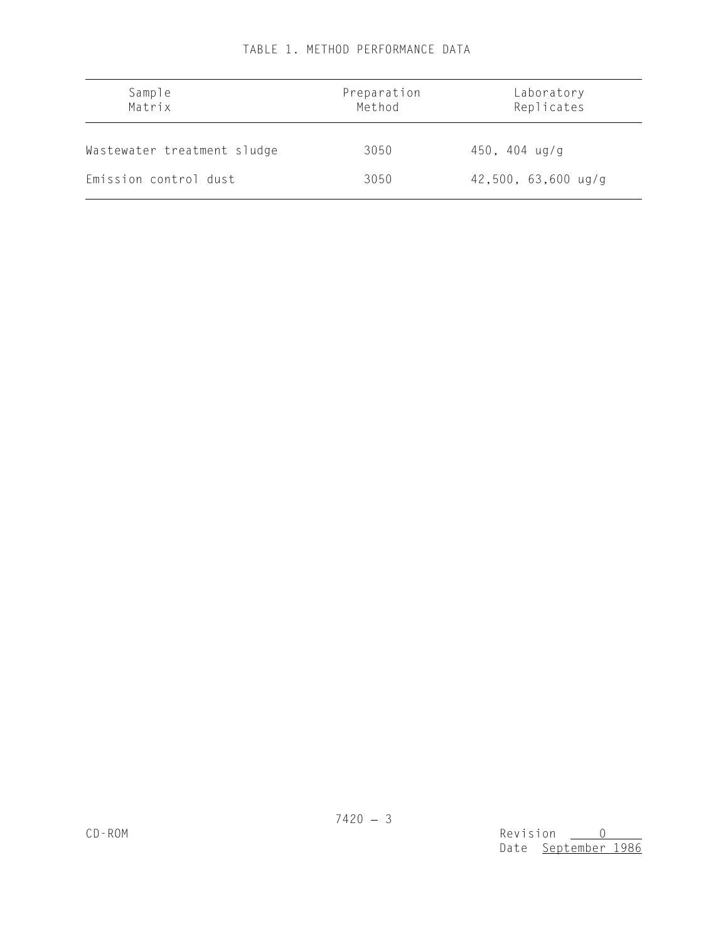| Sample<br>Matrix            | Preparation<br>Method | Laboratory<br>Replicates |
|-----------------------------|-----------------------|--------------------------|
| Wastewater treatment sludge | 3050                  | $450, 404$ ug/g          |
| Emission control dust       | 3050                  | $42,500, 63,600$ ug/g    |

# TABLE 1. METHOD PERFORMANCE DATA